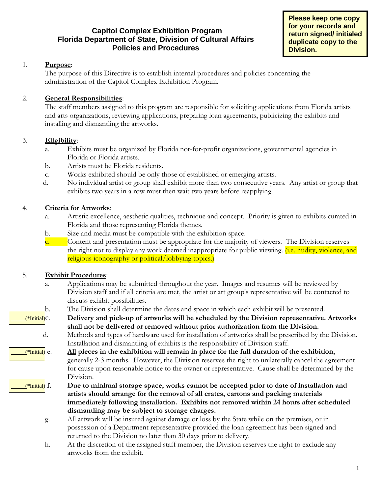## **Capitol Complex Exhibition Program Florida Department of State, Division of Cultural Affairs Policies and Procedures**

**Please keep one copy for your records and return signed/ initialed duplicate copy to the Division.**

### 1. **Purpose**:

The purpose of this Directive is to establish internal procedures and policies concerning the administration of the Capitol Complex Exhibition Program.

### 2. **General Responsibilities**:

The staff members assigned to this program are responsible for soliciting applications from Florida artists and arts organizations, reviewing applications, preparing loan agreements, publicizing the exhibits and installing and dismantling the artworks.

#### 3. **Eligibility**:

- a. Exhibits must be organized by Florida not-for-profit organizations, governmental agencies in Florida or Florida artists.
- b. Artists must be Florida residents.
- c. Works exhibited should be only those of established or emerging artists.
- d. No individual artist or group shall exhibit more than two consecutive years. Any artist or group that exhibits two years in a row must then wait two years before reapplying.

#### 4. **Criteria for Artworks**:

- a. Artistic excellence, aesthetic qualities, technique and concept. Priority is given to exhibits curated in Florida and those representing Florida themes.
- b. Size and media must be compatible with the exhibition space.
- c. Content and presentation must be appropriate for the majority of viewers. The Division reserves the right not to display any work deemed inappropriate for public viewing. *(i.e. nudity, violence, and* religious iconography or political/lobbying topics.)

#### 5. **Exhibit Procedures**:

- a. Applications may be submitted throughout the year. Images and resumes will be reviewed by Division staff and if all criteria are met, the artist or art group's representative will be contacted to discuss exhibit possibilities.
- b. The Division shall determine the dates and space in which each exhibit will be presented.
- (\*Initial)c. **Delivery and pick-up of artworks will be scheduled by the Division representative. Artworks shall not be delivered or removed without prior authorization from the Division.**
	- d. Methods and types of hardware used for installation of artworks shall be prescribed by the Division. Installation and dismantling of exhibits is the responsibility of Division staff.
- (\*Initial) e. **All pieces in the exhibition will remain in place for the full duration of the exhibition,** generally 2-3 months. However, the Division reserves the right to unilaterally cancel the agreement for cause upon reasonable notice to the owner or representative. Cause shall be determined by the Division.
- (\*Initial) **f. Due to minimal storage space, works cannot be accepted prior to date of installation and artists should arrange for the removal of all crates, cartons and packing materials immediately following installation. Exhibits not removed within 24 hours after scheduled dismantling may be subject to storage charges.**
	- g. All artwork will be insured against damage or loss by the State while on the premises, or in possession of a Department representative provided the loan agreement has been signed and returned to the Division no later than 30 days prior to delivery.
	- h. At the discretion of the assigned staff member, the Division reserves the right to exclude any artworks from the exhibit.